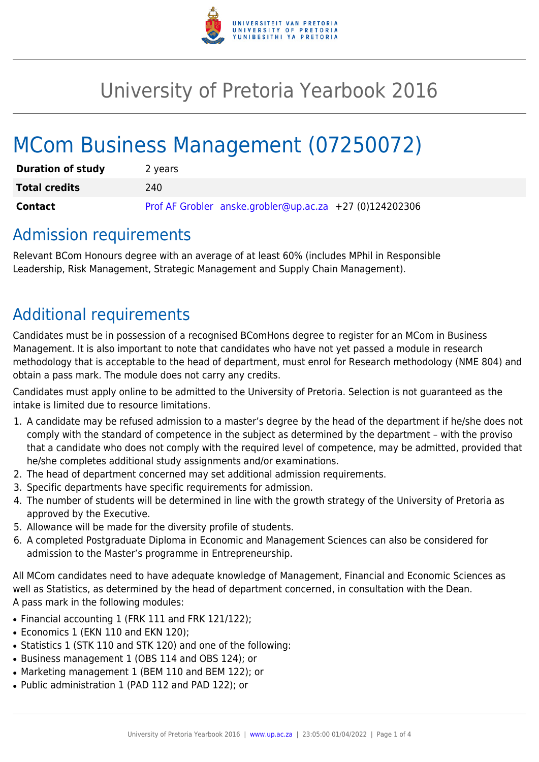

# University of Pretoria Yearbook 2016

# MCom Business Management (07250072)

| <b>Duration of study</b> | 2 years                                                 |
|--------------------------|---------------------------------------------------------|
| <b>Total credits</b>     | 240                                                     |
| <b>Contact</b>           | Prof AF Grobler anske.grobler@up.ac.za +27 (0)124202306 |

### Admission requirements

Relevant BCom Honours degree with an average of at least 60% (includes MPhil in Responsible Leadership, Risk Management, Strategic Management and Supply Chain Management).

# Additional requirements

Candidates must be in possession of a recognised BComHons degree to register for an MCom in Business Management. It is also important to note that candidates who have not yet passed a module in research methodology that is acceptable to the head of department, must enrol for Research methodology (NME 804) and obtain a pass mark. The module does not carry any credits.

Candidates must apply online to be admitted to the University of Pretoria. Selection is not guaranteed as the intake is limited due to resource limitations.

- 1. A candidate may be refused admission to a master's degree by the head of the department if he/she does not comply with the standard of competence in the subject as determined by the department – with the proviso that a candidate who does not comply with the required level of competence, may be admitted, provided that he/she completes additional study assignments and/or examinations.
- 2. The head of department concerned may set additional admission requirements.
- 3. Specific departments have specific requirements for admission.
- 4. The number of students will be determined in line with the growth strategy of the University of Pretoria as approved by the Executive.
- 5. Allowance will be made for the diversity profile of students.
- 6. A completed Postgraduate Diploma in Economic and Management Sciences can also be considered for admission to the Master's programme in Entrepreneurship.

All MCom candidates need to have adequate knowledge of Management, Financial and Economic Sciences as well as Statistics, as determined by the head of department concerned, in consultation with the Dean. A pass mark in the following modules:

- Financial accounting 1 (FRK 111 and FRK 121/122);
- Economics 1 (EKN 110 and EKN 120);
- Statistics 1 (STK 110 and STK 120) and one of the following:
- Business management 1 (OBS 114 and OBS 124); or
- Marketing management 1 (BEM 110 and BEM 122); or
- Public administration 1 (PAD 112 and PAD 122); or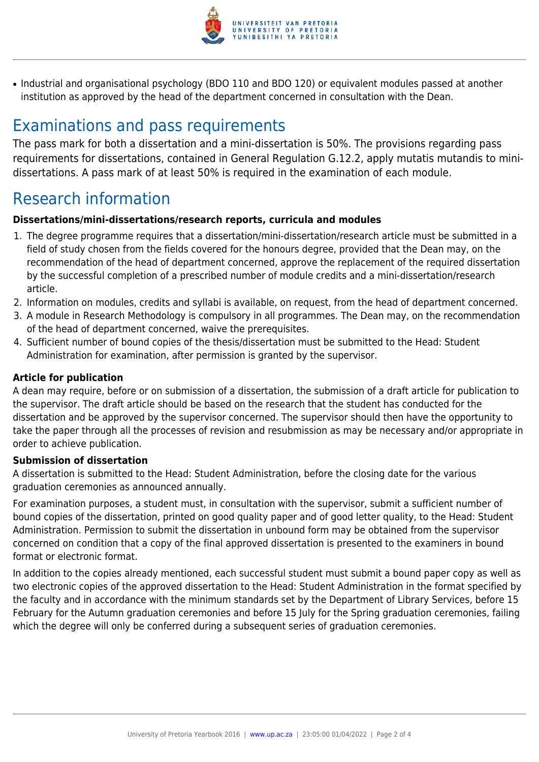

• Industrial and organisational psychology (BDO 110 and BDO 120) or equivalent modules passed at another institution as approved by the head of the department concerned in consultation with the Dean.

## Examinations and pass requirements

The pass mark for both a dissertation and a mini-dissertation is 50%. The provisions regarding pass requirements for dissertations, contained in General Regulation G.12.2, apply mutatis mutandis to minidissertations. A pass mark of at least 50% is required in the examination of each module.

## Research information

#### **Dissertations/mini-dissertations/research reports, curricula and modules**

- 1. The degree programme requires that a dissertation/mini-dissertation/research article must be submitted in a field of study chosen from the fields covered for the honours degree, provided that the Dean may, on the recommendation of the head of department concerned, approve the replacement of the required dissertation by the successful completion of a prescribed number of module credits and a mini-dissertation/research article.
- 2. Information on modules, credits and syllabi is available, on request, from the head of department concerned.
- 3. A module in Research Methodology is compulsory in all programmes. The Dean may, on the recommendation of the head of department concerned, waive the prerequisites.
- 4. Sufficient number of bound copies of the thesis/dissertation must be submitted to the Head: Student Administration for examination, after permission is granted by the supervisor.

#### **Article for publication**

A dean may require, before or on submission of a dissertation, the submission of a draft article for publication to the supervisor. The draft article should be based on the research that the student has conducted for the dissertation and be approved by the supervisor concerned. The supervisor should then have the opportunity to take the paper through all the processes of revision and resubmission as may be necessary and/or appropriate in order to achieve publication.

#### **Submission of dissertation**

A dissertation is submitted to the Head: Student Administration, before the closing date for the various graduation ceremonies as announced annually.

For examination purposes, a student must, in consultation with the supervisor, submit a sufficient number of bound copies of the dissertation, printed on good quality paper and of good letter quality, to the Head: Student Administration. Permission to submit the dissertation in unbound form may be obtained from the supervisor concerned on condition that a copy of the final approved dissertation is presented to the examiners in bound format or electronic format.

In addition to the copies already mentioned, each successful student must submit a bound paper copy as well as two electronic copies of the approved dissertation to the Head: Student Administration in the format specified by the faculty and in accordance with the minimum standards set by the Department of Library Services, before 15 February for the Autumn graduation ceremonies and before 15 July for the Spring graduation ceremonies, failing which the degree will only be conferred during a subsequent series of graduation ceremonies.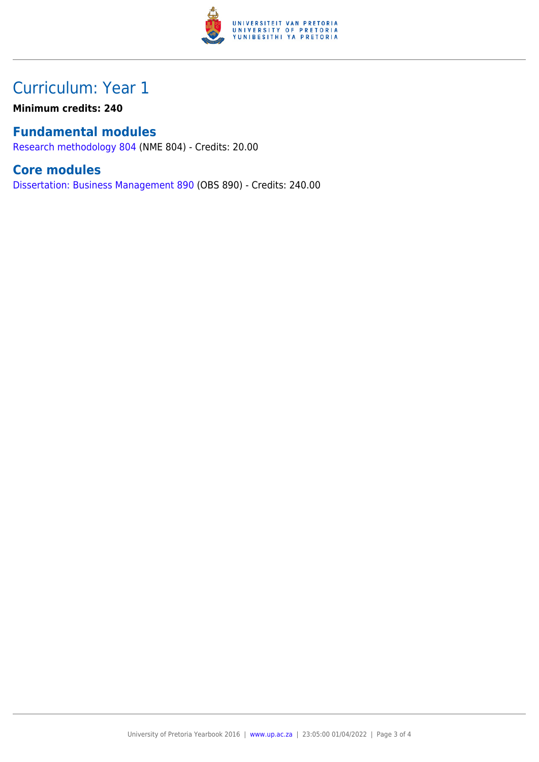

## Curriculum: Year 1

**Minimum credits: 240**

### **Fundamental modules**

[Research methodology 804](https://www.up.ac.za/faculty-of-education/yearbooks/2016/modules/view/NME 804) (NME 804) - Credits: 20.00

### **Core modules**

[Dissertation: Business Management 890](https://www.up.ac.za/faculty-of-education/yearbooks/2016/modules/view/OBS 890) (OBS 890) - Credits: 240.00